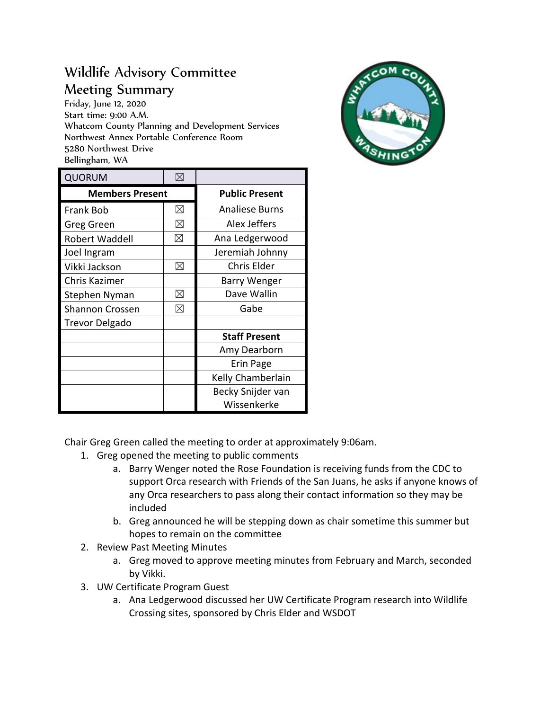## Wildlife Advisory Committee Meeting Summary

Friday, June 12, 2020 Start time: 9:00 A.M. Whatcom County Planning and Development Services Northwest Annex Portable Conference Room 5280 Northwest Drive Bellingham, WA



| <b>QUORUM</b>          | $\boxtimes$ |                       |
|------------------------|-------------|-----------------------|
| <b>Members Present</b> |             | <b>Public Present</b> |
| <b>Frank Bob</b>       | $\boxtimes$ | <b>Analiese Burns</b> |
| Greg Green             | $\boxtimes$ | Alex Jeffers          |
| Robert Waddell         | ⊠           | Ana Ledgerwood        |
| Joel Ingram            |             | Jeremiah Johnny       |
| Vikki Jackson          | ⊠           | <b>Chris Elder</b>    |
| Chris Kazimer          |             | Barry Wenger          |
| Stephen Nyman          | ⊠           | Dave Wallin           |
| <b>Shannon Crossen</b> | $\boxtimes$ | Gabe                  |
| Trevor Delgado         |             |                       |
|                        |             | <b>Staff Present</b>  |
|                        |             | Amy Dearborn          |
|                        |             | Erin Page             |
|                        |             | Kelly Chamberlain     |
|                        |             | Becky Snijder van     |
|                        |             | Wissenkerke           |

Chair Greg Green called the meeting to order at approximately 9:06am.

- 1. Greg opened the meeting to public comments
	- a. Barry Wenger noted the Rose Foundation is receiving funds from the CDC to support Orca research with Friends of the San Juans, he asks if anyone knows of any Orca researchers to pass along their contact information so they may be included
	- b. Greg announced he will be stepping down as chair sometime this summer but hopes to remain on the committee
- 2. Review Past Meeting Minutes
	- a. Greg moved to approve meeting minutes from February and March, seconded by Vikki.
- 3. UW Certificate Program Guest
	- a. Ana Ledgerwood discussed her UW Certificate Program research into Wildlife Crossing sites, sponsored by Chris Elder and WSDOT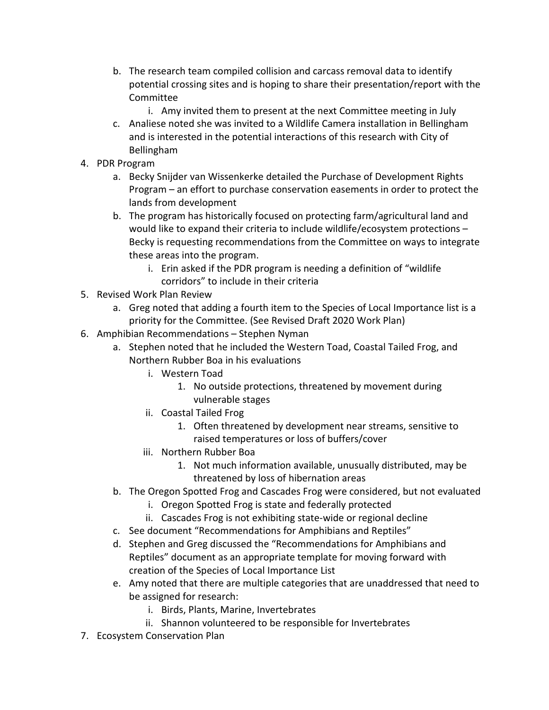- b. The research team compiled collision and carcass removal data to identify potential crossing sites and is hoping to share their presentation/report with the Committee
	- i. Amy invited them to present at the next Committee meeting in July
- c. Analiese noted she was invited to a Wildlife Camera installation in Bellingham and is interested in the potential interactions of this research with City of Bellingham
- 4. PDR Program
	- a. Becky Snijder van Wissenkerke detailed the Purchase of Development Rights Program – an effort to purchase conservation easements in order to protect the lands from development
	- b. The program has historically focused on protecting farm/agricultural land and would like to expand their criteria to include wildlife/ecosystem protections – Becky is requesting recommendations from the Committee on ways to integrate these areas into the program.
		- i. Erin asked if the PDR program is needing a definition of "wildlife corridors" to include in their criteria
- 5. Revised Work Plan Review
	- a. Greg noted that adding a fourth item to the Species of Local Importance list is a priority for the Committee. (See Revised Draft 2020 Work Plan)
- 6. Amphibian Recommendations Stephen Nyman
	- a. Stephen noted that he included the Western Toad, Coastal Tailed Frog, and Northern Rubber Boa in his evaluations
		- i. Western Toad
			- 1. No outside protections, threatened by movement during vulnerable stages
		- ii. Coastal Tailed Frog
			- 1. Often threatened by development near streams, sensitive to raised temperatures or loss of buffers/cover
		- iii. Northern Rubber Boa
			- 1. Not much information available, unusually distributed, may be threatened by loss of hibernation areas
	- b. The Oregon Spotted Frog and Cascades Frog were considered, but not evaluated
		- i. Oregon Spotted Frog is state and federally protected
		- ii. Cascades Frog is not exhibiting state-wide or regional decline
	- c. See document "Recommendations for Amphibians and Reptiles"
	- d. Stephen and Greg discussed the "Recommendations for Amphibians and Reptiles" document as an appropriate template for moving forward with creation of the Species of Local Importance List
	- e. Amy noted that there are multiple categories that are unaddressed that need to be assigned for research:
		- i. Birds, Plants, Marine, Invertebrates
		- ii. Shannon volunteered to be responsible for Invertebrates
- 7. Ecosystem Conservation Plan